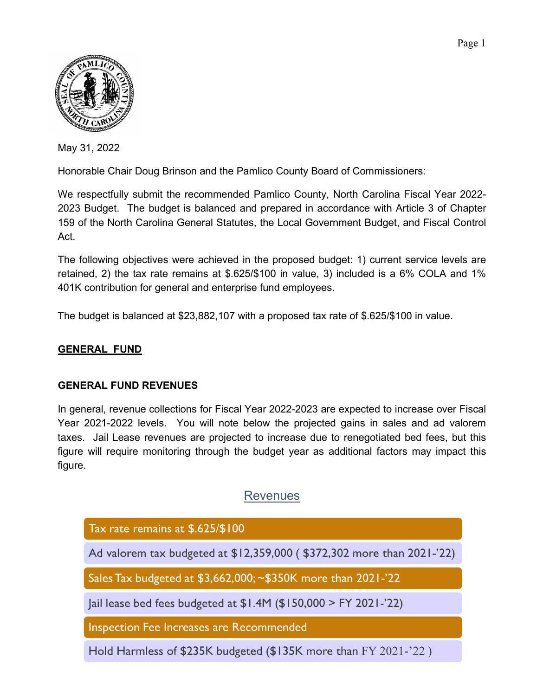

May 31, 2022

Honorable Chair Doug Brinson and the Pamlico County Board of Commissioners:

We respectfully submit the recommended Pamlico County, North Carolina Fiscal Year 2022- 2023 Budget. The budget is balanced and prepared in accordance with Article 3 of Chapter 159 of the North Carolina General Statutes, the Local Government Budget, and Fiscal Control Act.

The following objectives were achieved in the proposed budget: 1) current service levels are retained, 2) the tax rate remains at \$.625/\$100 in value, 3) included is a 6% COLA and 1% 401K contribution for general and enterprise fund employees.

The budget is balanced at \$23,882,107 with a proposed tax rate of \$.625/\$100 in value.

### **GENERAL FUND**

### **GENERAL FUND REVENUES**

In general, revenue collections for Fiscal Year 2022-2023 are expected to increase over Fiscal Year 2021-2022 levels. You will note below the projected gains in sales and ad valorem taxes. Jail Lease revenues are projected to increase due to renegotiated bed fees, but this figure will require monitoring through the budget year as additional factors may impact this figure.

# Revenues

Tax rate remains at \$.625/\$100

Ad valorem tax budgeted at \$12,359,000 (\$372,302 more than 2021-'22)

Sales Tax budgeted at \$3,662,000; ~\$350K more than 2021-'22

|ail lease bed fees budgeted at  $$1.4M ($150,000 > FY 2021-22)$ 

Inspection Fee Increases are Recommended

Hold Harmless of \$235K budgeted (\$135K more than FY 2021-'22)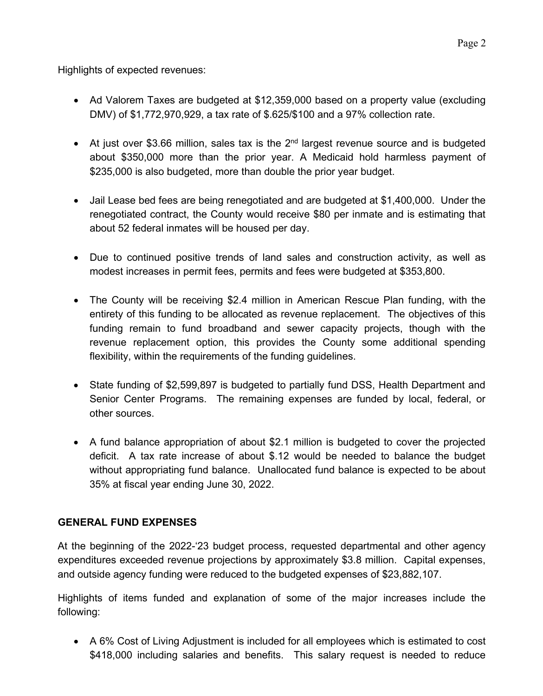Highlights of expected revenues:

- Ad Valorem Taxes are budgeted at \$12,359,000 based on a property value (excluding DMV) of \$1,772,970,929, a tax rate of \$.625/\$100 and a 97% collection rate.
- At just over \$3.66 million, sales tax is the  $2<sup>nd</sup>$  largest revenue source and is budgeted about \$350,000 more than the prior year. A Medicaid hold harmless payment of \$235,000 is also budgeted, more than double the prior year budget.
- Jail Lease bed fees are being renegotiated and are budgeted at \$1,400,000. Under the renegotiated contract, the County would receive \$80 per inmate and is estimating that about 52 federal inmates will be housed per day.
- Due to continued positive trends of land sales and construction activity, as well as modest increases in permit fees, permits and fees were budgeted at \$353,800.
- The County will be receiving \$2.4 million in American Rescue Plan funding, with the entirety of this funding to be allocated as revenue replacement. The objectives of this funding remain to fund broadband and sewer capacity projects, though with the revenue replacement option, this provides the County some additional spending flexibility, within the requirements of the funding guidelines.
- State funding of \$2,599,897 is budgeted to partially fund DSS, Health Department and Senior Center Programs. The remaining expenses are funded by local, federal, or other sources.
- A fund balance appropriation of about \$2.1 million is budgeted to cover the projected deficit. A tax rate increase of about \$.12 would be needed to balance the budget without appropriating fund balance. Unallocated fund balance is expected to be about 35% at fiscal year ending June 30, 2022.

## **GENERAL FUND EXPENSES**

At the beginning of the 2022-'23 budget process, requested departmental and other agency expenditures exceeded revenue projections by approximately \$3.8 million. Capital expenses, and outside agency funding were reduced to the budgeted expenses of \$23,882,107.

Highlights of items funded and explanation of some of the major increases include the following:

• A 6% Cost of Living Adjustment is included for all employees which is estimated to cost \$418,000 including salaries and benefits. This salary request is needed to reduce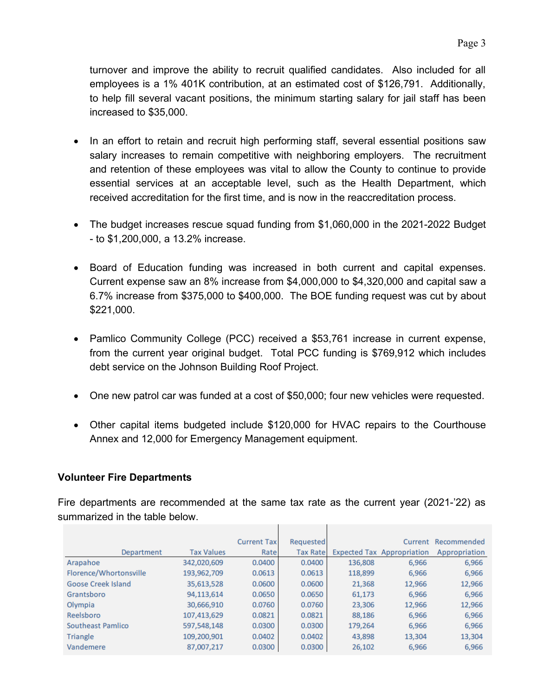turnover and improve the ability to recruit qualified candidates. Also included for all employees is a 1% 401K contribution, at an estimated cost of \$126,791. Additionally, to help fill several vacant positions, the minimum starting salary for jail staff has been increased to \$35,000.

- In an effort to retain and recruit high performing staff, several essential positions saw salary increases to remain competitive with neighboring employers. The recruitment and retention of these employees was vital to allow the County to continue to provide essential services at an acceptable level, such as the Health Department, which received accreditation for the first time, and is now in the reaccreditation process.
- The budget increases rescue squad funding from \$1,060,000 in the 2021-2022 Budget - to \$1,200,000, a 13.2% increase.
- Board of Education funding was increased in both current and capital expenses. Current expense saw an 8% increase from \$4,000,000 to \$4,320,000 and capital saw a 6.7% increase from \$375,000 to \$400,000. The BOE funding request was cut by about \$221,000.
- Pamlico Community College (PCC) received a \$53,761 increase in current expense, from the current year original budget. Total PCC funding is \$769,912 which includes debt service on the Johnson Building Roof Project.
- One new patrol car was funded at a cost of \$50,000; four new vehicles were requested.
- Other capital items budgeted include \$120,000 for HVAC repairs to the Courthouse Annex and 12,000 for Emergency Management equipment.

### **Volunteer Fire Departments**

Fire departments are recommended at the same tax rate as the current year (2021-'22) as summarized in the table below.

|                           |                   | <b>Current Tax</b> | Requested       |         | Current                           | Recommended   |
|---------------------------|-------------------|--------------------|-----------------|---------|-----------------------------------|---------------|
| Department                | <b>Tax Values</b> | Rate               | <b>Tax Rate</b> |         | <b>Expected Tax Appropriation</b> | Appropriation |
| Arapahoe                  | 342,020,609       | 0.0400             | 0.0400          | 136,808 | 6,966                             | 6,966         |
| Florence/Whortonsville    | 193,962,709       | 0.0613             | 0.0613          | 118,899 | 6,966                             | 6,966         |
| <b>Goose Creek Island</b> | 35,613,528        | 0.0600             | 0.0600          | 21,368  | 12,966                            | 12,966        |
| Grantsboro                | 94,113,614        | 0.0650             | 0.0650          | 61,173  | 6,966                             | 6,966         |
| Olympia                   | 30,666,910        | 0.0760             | 0.0760          | 23,306  | 12,966                            | 12,966        |
| Reelsboro                 | 107,413,629       | 0.0821             | 0.0821          | 88,186  | 6,966                             | 6,966         |
| Southeast Pamlico         | 597,548,148       | 0.0300             | 0.0300          | 179,264 | 6,966                             | 6,966         |
| Triangle                  | 109,200,901       | 0.0402             | 0.0402          | 43,898  | 13,304                            | 13,304        |
| Vandemere                 | 87,007,217        | 0.0300             | 0.0300          | 26,102  | 6,966                             | 6,966         |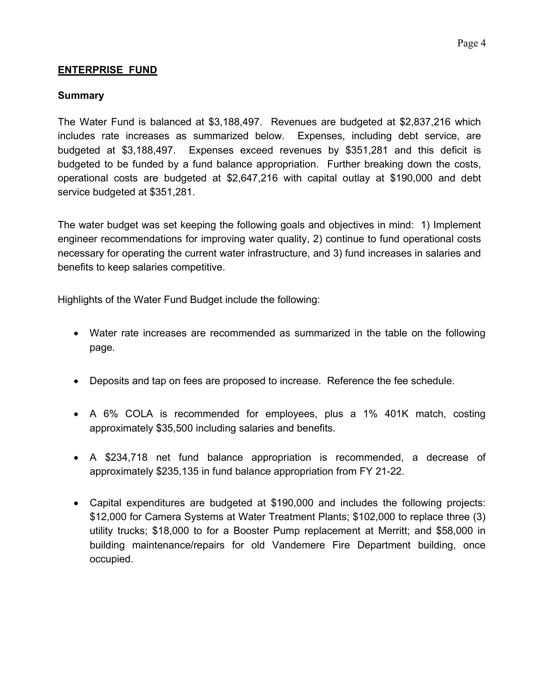### **ENTERPRISE FUND**

#### **Summary**

The Water Fund is balanced at \$3,188,497. Revenues are budgeted at \$2,837,216 which includes rate increases as summarized below. Expenses, including debt service, are budgeted at \$3,188,497. Expenses exceed revenues by \$351,281 and this deficit is budgeted to be funded by a fund balance appropriation. Further breaking down the costs, operational costs are budgeted at \$2,647,216 with capital outlay at \$190,000 and debt service budgeted at \$351,281.

The water budget was set keeping the following goals and objectives in mind: 1) Implement engineer recommendations for improving water quality, 2) continue to fund operational costs necessary for operating the current water infrastructure, and 3) fund increases in salaries and benefits to keep salaries competitive.

Highlights of the Water Fund Budget include the following:

- Water rate increases are recommended as summarized in the table on the following page.
- Deposits and tap on fees are proposed to increase. Reference the fee schedule.
- A 6% COLA is recommended for employees, plus a 1% 401K match, costing approximately \$35,500 including salaries and benefits.
- A \$234,718 net fund balance appropriation is recommended, a decrease of approximately \$235,135 in fund balance appropriation from FY 21-22.
- Capital expenditures are budgeted at \$190,000 and includes the following projects: \$12,000 for Camera Systems at Water Treatment Plants; \$102,000 to replace three (3) utility trucks; \$18,000 to for a Booster Pump replacement at Merritt; and \$58,000 in building maintenance/repairs for old Vandemere Fire Department building, once occupied.